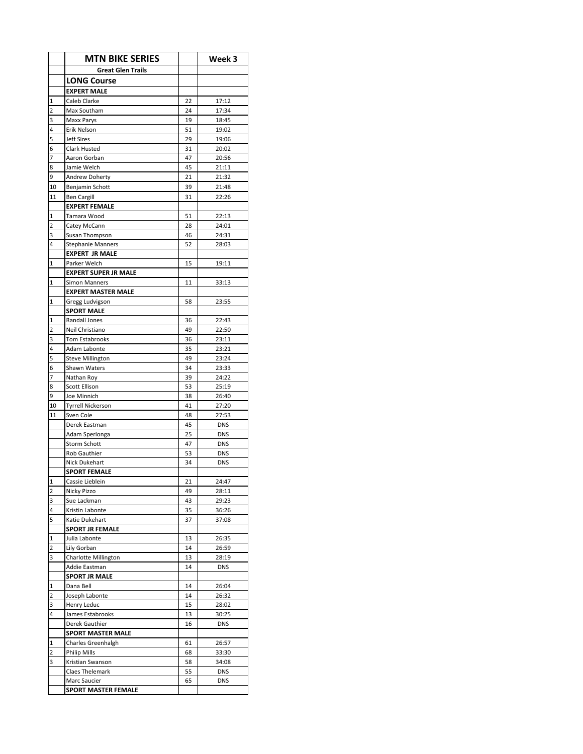|                         | <b>MTN BIKE SERIES</b>                      |          | Week 3         |
|-------------------------|---------------------------------------------|----------|----------------|
|                         | <b>Great Glen Trails</b>                    |          |                |
|                         | <b>LONG Course</b>                          |          |                |
|                         | <b>EXPERT MALE</b>                          |          |                |
| 1                       | Caleb Clarke                                | 22       | 17:12          |
| 2                       | Max Southam                                 | 24       | 17:34          |
| 3                       | Maxx Parys                                  | 19       | 18:45          |
| 4                       | Erik Nelson                                 | 51       | 19:02          |
| 5<br>6                  | Jeff Sires<br>Clark Husted                  | 29<br>31 | 19:06          |
| 7                       | Aaron Gorban                                | 47       | 20:02<br>20:56 |
| 8                       | Jamie Welch                                 | 45       | 21:11          |
| 9                       | <b>Andrew Doherty</b>                       | 21       | 21:32          |
| 10                      | Benjamin Schott                             | 39       | 21:48          |
| 11                      | <b>Ben Cargill</b>                          | 31       | 22:26          |
|                         | <b>EXPERT FEMALE</b>                        |          |                |
| 1                       | Tamara Wood                                 | 51       | 22:13          |
| 2                       | Catey McCann                                | 28       | 24:01          |
| 3                       | Susan Thompson                              | 46       | 24:31          |
| 4                       | <b>Stephanie Manners</b>                    | 52       | 28:03          |
|                         | <b>EXPERT JR MALE</b>                       |          |                |
| 1                       | Parker Welch<br><b>EXPERT SUPER JR MALE</b> | 15       | 19:11          |
| 1                       | <b>Simon Manners</b>                        | 11       | 33:13          |
|                         | <b>EXPERT MASTER MALE</b>                   |          |                |
| 1                       | Gregg Ludvigson                             | 58       | 23:55          |
|                         | <b>SPORT MALE</b>                           |          |                |
| 1                       | Randall Jones                               | 36       | 22:43          |
| 2                       | Neil Christiano                             | 49       | 22:50          |
| 3                       | <b>Tom Estabrooks</b>                       | 36       | 23:11          |
| 4                       | Adam Labonte                                | 35       | 23:21          |
| 5                       | <b>Steve Millington</b>                     | 49       | 23:24          |
| 6                       | Shawn Waters                                | 34       | 23:33          |
| 7<br>8                  | Nathan Roy<br>Scott Ellison                 | 39<br>53 | 24:22<br>25:19 |
| 9                       | Joe Minnich                                 | 38       | 26:40          |
| 10                      | <b>Tyrrell Nickerson</b>                    | 41       | 27:20          |
| 11                      | Sven Cole                                   | 48       | 27:53          |
|                         | Derek Eastman                               | 45       | <b>DNS</b>     |
|                         | Adam Sperlonga                              | 25       | <b>DNS</b>     |
|                         | Storm Schott                                | 47       | <b>DNS</b>     |
|                         | Rob Gauthier                                | 53       | <b>DNS</b>     |
|                         | Nick Dukehart                               | 34       | DNS            |
| 1                       | <b>SPORT FEMALE</b><br>Cassie Lieblein      | 21       | 24:47          |
| $\overline{\mathbf{c}}$ | Nicky Pizzo                                 | 49       | 28:11          |
| 3                       | Sue Lackman                                 | 43       | 29:23          |
| 4                       | Kristin Labonte                             | 35       | 36:26          |
| 5                       | Katie Dukehart                              | 37       | 37:08          |
|                         | <b>SPORT JR FEMALE</b>                      |          |                |
| 1                       | Julia Labonte                               | 13       | 26:35          |
| 2                       | Lily Gorban                                 | 14       | 26:59          |
| 3                       | Charlotte Millington                        | 13       | 28:19          |
|                         | Addie Eastman                               | 14       | <b>DNS</b>     |
| $\mathbf 1$             | <b>SPORT JR MALE</b><br>Dana Bell           | 14       |                |
| 2                       | Joseph Labonte                              | 14       | 26:04<br>26:32 |
| 3                       | Henry Leduc                                 | 15       | 28:02          |
| 4                       | James Estabrooks                            | 13       | 30:25          |
|                         | Derek Gauthier                              | 16       | DNS            |
|                         | <b>SPORT MASTER MALE</b>                    |          |                |
| 1                       | Charles Greenhalgh                          | 61       | 26:57          |
| 2                       | Philip Mills                                | 68       | 33:30          |
| 3                       | Kristian Swanson                            | 58       | 34:08          |
|                         | Claes Thelemark                             | 55       | <b>DNS</b>     |
|                         | Marc Saucier                                | 65       | <b>DNS</b>     |
|                         | SPORT MASTER FEMALE                         |          |                |